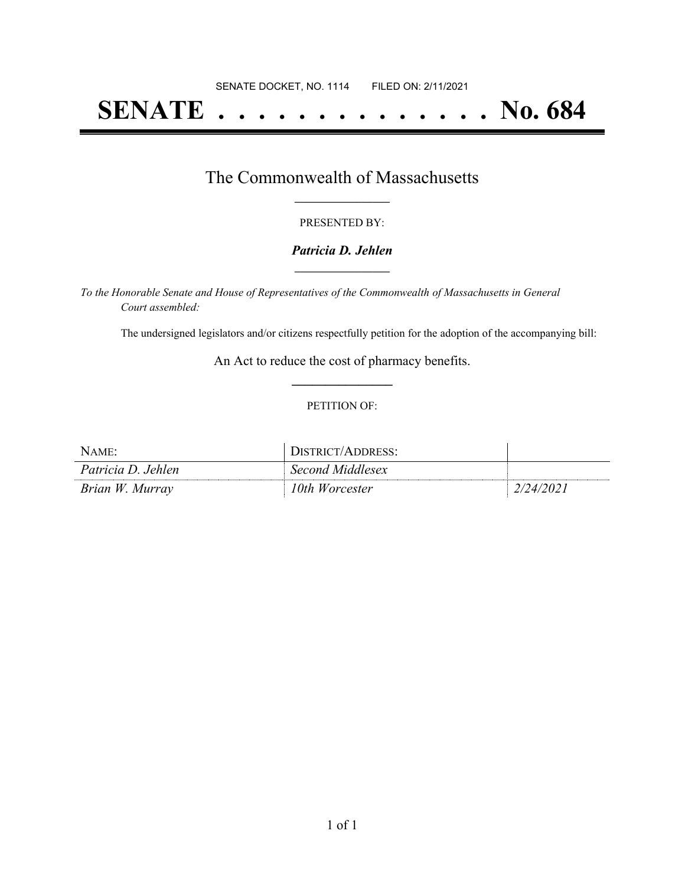# **SENATE . . . . . . . . . . . . . . No. 684**

### The Commonwealth of Massachusetts **\_\_\_\_\_\_\_\_\_\_\_\_\_\_\_\_\_**

#### PRESENTED BY:

#### *Patricia D. Jehlen* **\_\_\_\_\_\_\_\_\_\_\_\_\_\_\_\_\_**

*To the Honorable Senate and House of Representatives of the Commonwealth of Massachusetts in General Court assembled:*

The undersigned legislators and/or citizens respectfully petition for the adoption of the accompanying bill:

An Act to reduce the cost of pharmacy benefits. **\_\_\_\_\_\_\_\_\_\_\_\_\_\_\_**

#### PETITION OF:

| NAME:              | <i><b>JISTRICT/ADDRESS:</b></i> |                |
|--------------------|---------------------------------|----------------|
| Patricia D. Jehlen | Second Middlesex                |                |
| Brian W. Murray    | 10th Worcester                  | $^{1/24/2021}$ |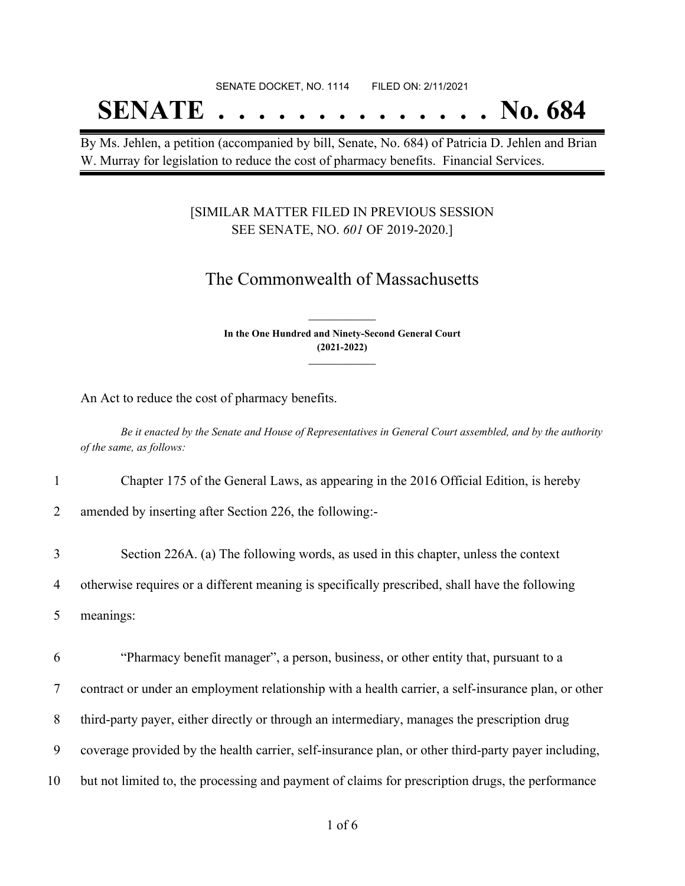# SENATE DOCKET, NO. 1114 FILED ON: 2/11/2021 **SENATE . . . . . . . . . . . . . . No. 684**

By Ms. Jehlen, a petition (accompanied by bill, Senate, No. 684) of Patricia D. Jehlen and Brian W. Murray for legislation to reduce the cost of pharmacy benefits. Financial Services.

#### [SIMILAR MATTER FILED IN PREVIOUS SESSION SEE SENATE, NO. *601* OF 2019-2020.]

## The Commonwealth of Massachusetts

**In the One Hundred and Ninety-Second General Court (2021-2022) \_\_\_\_\_\_\_\_\_\_\_\_\_\_\_**

**\_\_\_\_\_\_\_\_\_\_\_\_\_\_\_**

An Act to reduce the cost of pharmacy benefits.

Be it enacted by the Senate and House of Representatives in General Court assembled, and by the authority *of the same, as follows:*

1 Chapter 175 of the General Laws, as appearing in the 2016 Official Edition, is hereby

2 amended by inserting after Section 226, the following:-

3 Section 226A. (a) The following words, as used in this chapter, unless the context 4 otherwise requires or a different meaning is specifically prescribed, shall have the following 5 meanings:

 "Pharmacy benefit manager", a person, business, or other entity that, pursuant to a contract or under an employment relationship with a health carrier, a self-insurance plan, or other third-party payer, either directly or through an intermediary, manages the prescription drug coverage provided by the health carrier, self-insurance plan, or other third-party payer including, but not limited to, the processing and payment of claims for prescription drugs, the performance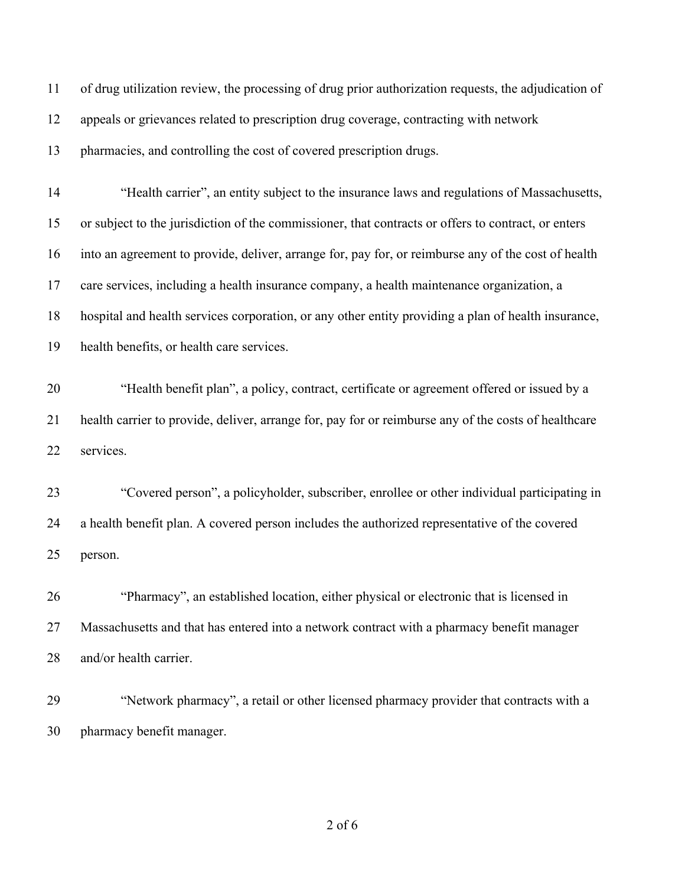of drug utilization review, the processing of drug prior authorization requests, the adjudication of appeals or grievances related to prescription drug coverage, contracting with network pharmacies, and controlling the cost of covered prescription drugs. "Health carrier", an entity subject to the insurance laws and regulations of Massachusetts, or subject to the jurisdiction of the commissioner, that contracts or offers to contract, or enters into an agreement to provide, deliver, arrange for, pay for, or reimburse any of the cost of health care services, including a health insurance company, a health maintenance organization, a hospital and health services corporation, or any other entity providing a plan of health insurance, health benefits, or health care services. "Health benefit plan", a policy, contract, certificate or agreement offered or issued by a health carrier to provide, deliver, arrange for, pay for or reimburse any of the costs of healthcare services. "Covered person", a policyholder, subscriber, enrollee or other individual participating in a health benefit plan. A covered person includes the authorized representative of the covered person. "Pharmacy", an established location, either physical or electronic that is licensed in Massachusetts and that has entered into a network contract with a pharmacy benefit manager and/or health carrier. "Network pharmacy", a retail or other licensed pharmacy provider that contracts with a pharmacy benefit manager.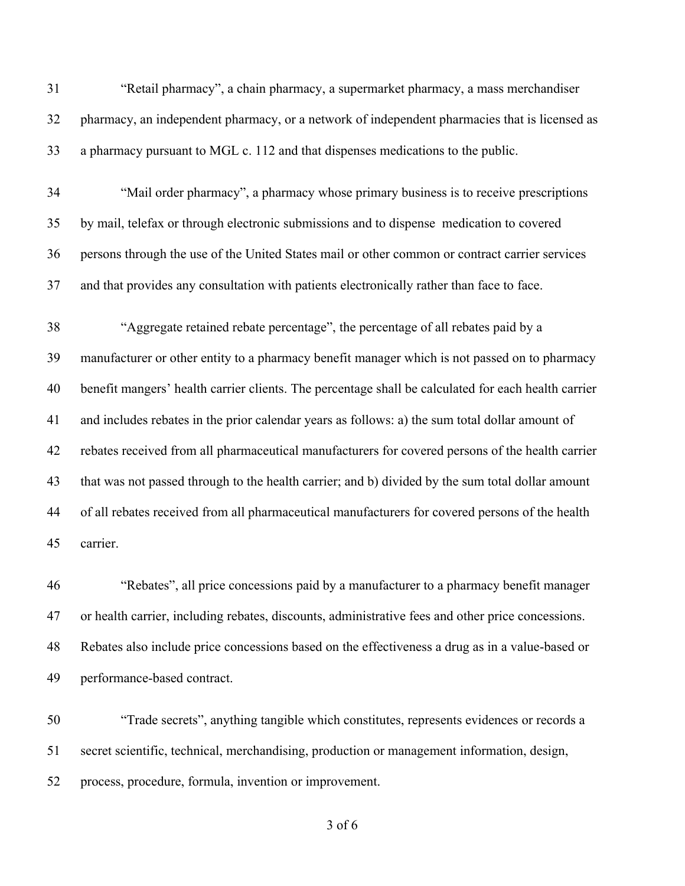| 31 | "Retail pharmacy", a chain pharmacy, a supermarket pharmacy, a mass merchandiser                    |
|----|-----------------------------------------------------------------------------------------------------|
| 32 | pharmacy, an independent pharmacy, or a network of independent pharmacies that is licensed as       |
| 33 | a pharmacy pursuant to MGL c. 112 and that dispenses medications to the public.                     |
| 34 | "Mail order pharmacy", a pharmacy whose primary business is to receive prescriptions                |
| 35 | by mail, telefax or through electronic submissions and to dispense medication to covered            |
| 36 | persons through the use of the United States mail or other common or contract carrier services      |
| 37 | and that provides any consultation with patients electronically rather than face to face.           |
| 38 | "Aggregate retained rebate percentage", the percentage of all rebates paid by a                     |
| 39 | manufacturer or other entity to a pharmacy benefit manager which is not passed on to pharmacy       |
| 40 | benefit mangers' health carrier clients. The percentage shall be calculated for each health carrier |
| 41 | and includes rebates in the prior calendar years as follows: a) the sum total dollar amount of      |
| 42 | rebates received from all pharmaceutical manufacturers for covered persons of the health carrier    |
| 43 | that was not passed through to the health carrier; and b) divided by the sum total dollar amount    |
| 44 | of all rebates received from all pharmaceutical manufacturers for covered persons of the health     |
| 45 | carrier.                                                                                            |
|    |                                                                                                     |

 "Rebates", all price concessions paid by a manufacturer to a pharmacy benefit manager or health carrier, including rebates, discounts, administrative fees and other price concessions. Rebates also include price concessions based on the effectiveness a drug as in a value-based or performance-based contract.

 "Trade secrets", anything tangible which constitutes, represents evidences or records a secret scientific, technical, merchandising, production or management information, design, process, procedure, formula, invention or improvement.

of 6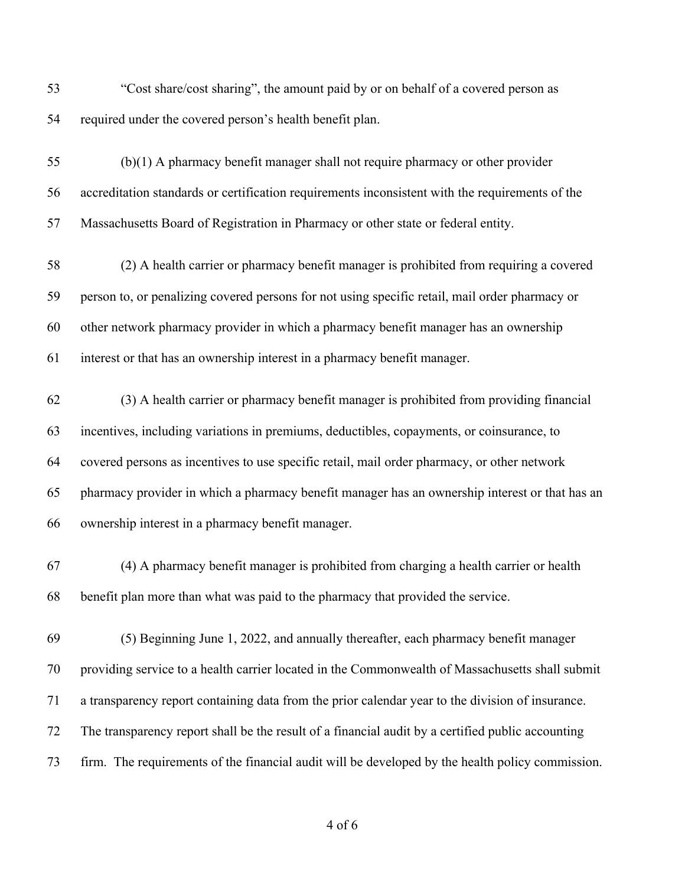- "Cost share/cost sharing", the amount paid by or on behalf of a covered person as required under the covered person's health benefit plan.
- (b)(1) A pharmacy benefit manager shall not require pharmacy or other provider accreditation standards or certification requirements inconsistent with the requirements of the Massachusetts Board of Registration in Pharmacy or other state or federal entity.
- (2) A health carrier or pharmacy benefit manager is prohibited from requiring a covered person to, or penalizing covered persons for not using specific retail, mail order pharmacy or other network pharmacy provider in which a pharmacy benefit manager has an ownership interest or that has an ownership interest in a pharmacy benefit manager.
- (3) A health carrier or pharmacy benefit manager is prohibited from providing financial incentives, including variations in premiums, deductibles, copayments, or coinsurance, to covered persons as incentives to use specific retail, mail order pharmacy, or other network pharmacy provider in which a pharmacy benefit manager has an ownership interest or that has an ownership interest in a pharmacy benefit manager.
- (4) A pharmacy benefit manager is prohibited from charging a health carrier or health benefit plan more than what was paid to the pharmacy that provided the service.
- (5) Beginning June 1, 2022, and annually thereafter, each pharmacy benefit manager providing service to a health carrier located in the Commonwealth of Massachusetts shall submit a transparency report containing data from the prior calendar year to the division of insurance. The transparency report shall be the result of a financial audit by a certified public accounting firm. The requirements of the financial audit will be developed by the health policy commission.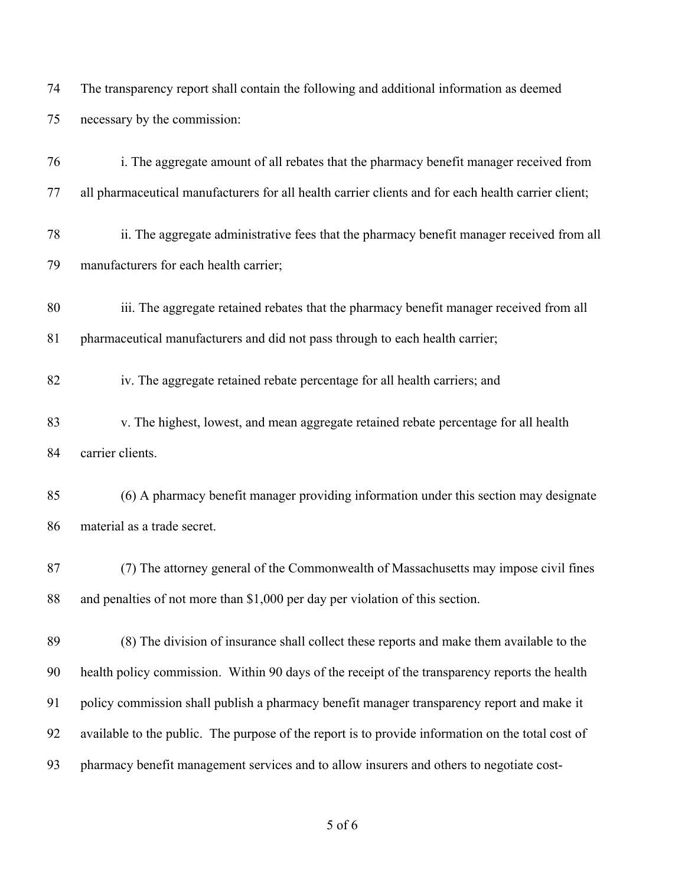The transparency report shall contain the following and additional information as deemed necessary by the commission:

| 76 | i. The aggregate amount of all rebates that the pharmacy benefit manager received from              |
|----|-----------------------------------------------------------------------------------------------------|
| 77 | all pharmaceutical manufacturers for all health carrier clients and for each health carrier client; |
| 78 | ii. The aggregate administrative fees that the pharmacy benefit manager received from all           |
| 79 | manufacturers for each health carrier;                                                              |
| 80 | iii. The aggregate retained rebates that the pharmacy benefit manager received from all             |
| 81 | pharmaceutical manufacturers and did not pass through to each health carrier;                       |
| 82 | iv. The aggregate retained rebate percentage for all health carriers; and                           |
| 83 | v. The highest, lowest, and mean aggregate retained rebate percentage for all health                |
| 84 | carrier clients.                                                                                    |
| 85 | (6) A pharmacy benefit manager providing information under this section may designate               |
| 86 | material as a trade secret.                                                                         |
| 87 | (7) The attorney general of the Commonwealth of Massachusetts may impose civil fines                |
| 88 | and penalties of not more than \$1,000 per day per violation of this section.                       |
| 89 | (8) The division of insurance shall collect these reports and make them available to the            |
| 90 | health policy commission. Within 90 days of the receipt of the transparency reports the health      |
| 91 | policy commission shall publish a pharmacy benefit manager transparency report and make it          |
| 92 | available to the public. The purpose of the report is to provide information on the total cost of   |
| 93 | pharmacy benefit management services and to allow insurers and others to negotiate cost-            |